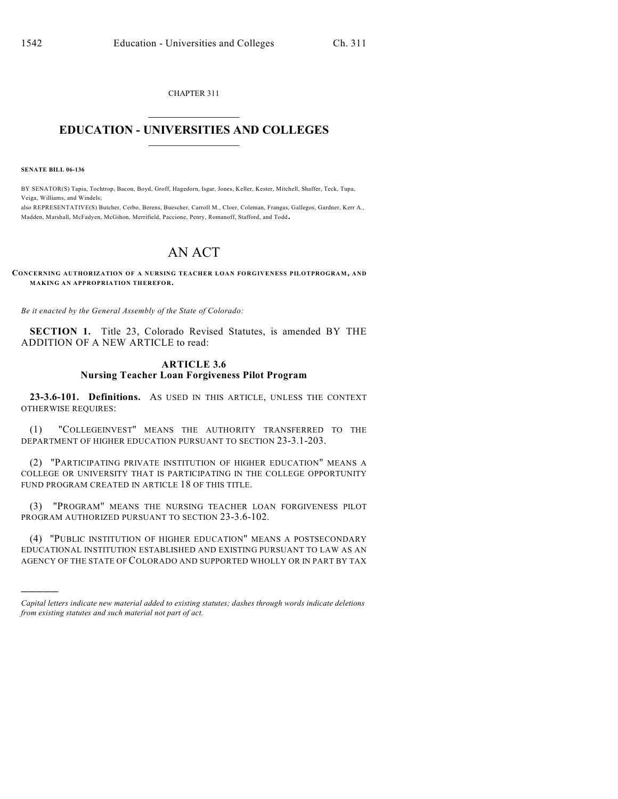CHAPTER 311  $\overline{\phantom{a}}$  . The set of the set of the set of the set of the set of the set of the set of the set of the set of the set of the set of the set of the set of the set of the set of the set of the set of the set of the set o

## **EDUCATION - UNIVERSITIES AND COLLEGES**  $\_$

**SENATE BILL 06-136**

)))))

BY SENATOR(S) Tapia, Tochtrop, Bacon, Boyd, Groff, Hagedorn, Isgar, Jones, Keller, Kester, Mitchell, Shaffer, Teck, Tupa, Veiga, Williams, and Windels;

also REPRESENTATIVE(S) Butcher, Cerbo, Berens, Buescher, Carroll M., Cloer, Coleman, Frangas, Gallegos, Gardner, Kerr A., Madden, Marshall, McFadyen, McGihon, Merrifield, Paccione, Penry, Romanoff, Stafford, and Todd.

## AN ACT

**CONCERNING AUTHORIZATION OF A NURSING TEACHER LOAN FORGIVENESS PILOTPROGRAM, AND MAKING AN APPROPRIATION THEREFOR.**

*Be it enacted by the General Assembly of the State of Colorado:*

**SECTION 1.** Title 23, Colorado Revised Statutes, is amended BY THE ADDITION OF A NEW ARTICLE to read:

## **ARTICLE 3.6 Nursing Teacher Loan Forgiveness Pilot Program**

**23-3.6-101. Definitions.** AS USED IN THIS ARTICLE, UNLESS THE CONTEXT OTHERWISE REQUIRES:

(1) "COLLEGEINVEST" MEANS THE AUTHORITY TRANSFERRED TO THE DEPARTMENT OF HIGHER EDUCATION PURSUANT TO SECTION 23-3.1-203.

(2) "PARTICIPATING PRIVATE INSTITUTION OF HIGHER EDUCATION" MEANS A COLLEGE OR UNIVERSITY THAT IS PARTICIPATING IN THE COLLEGE OPPORTUNITY FUND PROGRAM CREATED IN ARTICLE 18 OF THIS TITLE.

(3) "PROGRAM" MEANS THE NURSING TEACHER LOAN FORGIVENESS PILOT PROGRAM AUTHORIZED PURSUANT TO SECTION 23-3.6-102.

(4) "PUBLIC INSTITUTION OF HIGHER EDUCATION" MEANS A POSTSECONDARY EDUCATIONAL INSTITUTION ESTABLISHED AND EXISTING PURSUANT TO LAW AS AN AGENCY OF THE STATE OF COLORADO AND SUPPORTED WHOLLY OR IN PART BY TAX

*Capital letters indicate new material added to existing statutes; dashes through words indicate deletions from existing statutes and such material not part of act.*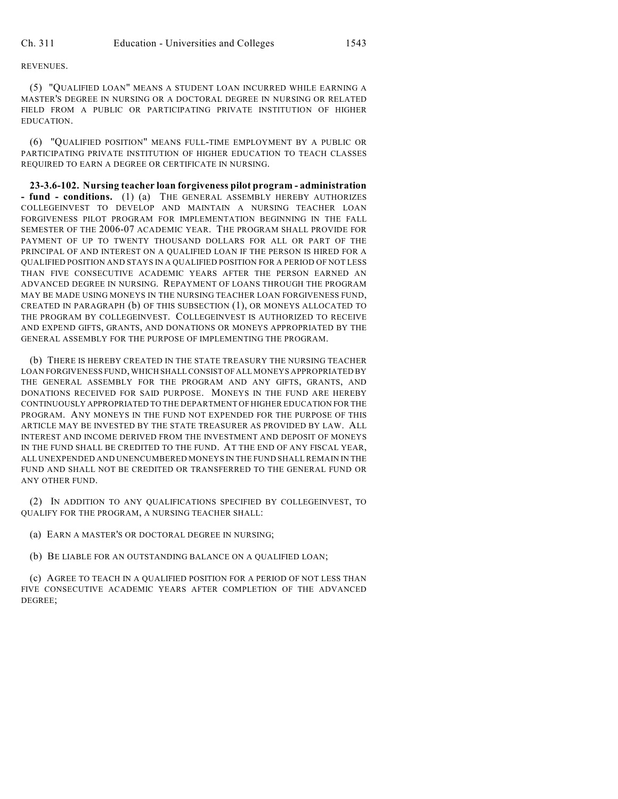REVENUES.

(5) "QUALIFIED LOAN" MEANS A STUDENT LOAN INCURRED WHILE EARNING A MASTER'S DEGREE IN NURSING OR A DOCTORAL DEGREE IN NURSING OR RELATED FIELD FROM A PUBLIC OR PARTICIPATING PRIVATE INSTITUTION OF HIGHER EDUCATION.

(6) "QUALIFIED POSITION" MEANS FULL-TIME EMPLOYMENT BY A PUBLIC OR PARTICIPATING PRIVATE INSTITUTION OF HIGHER EDUCATION TO TEACH CLASSES REQUIRED TO EARN A DEGREE OR CERTIFICATE IN NURSING.

**23-3.6-102. Nursing teacher loan forgiveness pilot program - administration - fund - conditions.** (1) (a) THE GENERAL ASSEMBLY HEREBY AUTHORIZES COLLEGEINVEST TO DEVELOP AND MAINTAIN A NURSING TEACHER LOAN FORGIVENESS PILOT PROGRAM FOR IMPLEMENTATION BEGINNING IN THE FALL SEMESTER OF THE 2006-07 ACADEMIC YEAR. THE PROGRAM SHALL PROVIDE FOR PAYMENT OF UP TO TWENTY THOUSAND DOLLARS FOR ALL OR PART OF THE PRINCIPAL OF AND INTEREST ON A QUALIFIED LOAN IF THE PERSON IS HIRED FOR A QUALIFIED POSITION AND STAYS IN A QUALIFIED POSITION FOR A PERIOD OF NOT LESS THAN FIVE CONSECUTIVE ACADEMIC YEARS AFTER THE PERSON EARNED AN ADVANCED DEGREE IN NURSING. REPAYMENT OF LOANS THROUGH THE PROGRAM MAY BE MADE USING MONEYS IN THE NURSING TEACHER LOAN FORGIVENESS FUND, CREATED IN PARAGRAPH (b) OF THIS SUBSECTION (1), OR MONEYS ALLOCATED TO THE PROGRAM BY COLLEGEINVEST. COLLEGEINVEST IS AUTHORIZED TO RECEIVE AND EXPEND GIFTS, GRANTS, AND DONATIONS OR MONEYS APPROPRIATED BY THE GENERAL ASSEMBLY FOR THE PURPOSE OF IMPLEMENTING THE PROGRAM.

(b) THERE IS HEREBY CREATED IN THE STATE TREASURY THE NURSING TEACHER LOAN FORGIVENESS FUND, WHICH SHALL CONSIST OF ALL MONEYS APPROPRIATED BY THE GENERAL ASSEMBLY FOR THE PROGRAM AND ANY GIFTS, GRANTS, AND DONATIONS RECEIVED FOR SAID PURPOSE. MONEYS IN THE FUND ARE HEREBY CONTINUOUSLY APPROPRIATED TO THE DEPARTMENT OF HIGHER EDUCATION FOR THE PROGRAM. ANY MONEYS IN THE FUND NOT EXPENDED FOR THE PURPOSE OF THIS ARTICLE MAY BE INVESTED BY THE STATE TREASURER AS PROVIDED BY LAW. ALL INTEREST AND INCOME DERIVED FROM THE INVESTMENT AND DEPOSIT OF MONEYS IN THE FUND SHALL BE CREDITED TO THE FUND. AT THE END OF ANY FISCAL YEAR, ALL UNEXPENDED AND UNENCUMBERED MONEYS IN THE FUND SHALL REMAIN IN THE FUND AND SHALL NOT BE CREDITED OR TRANSFERRED TO THE GENERAL FUND OR ANY OTHER FUND.

(2) IN ADDITION TO ANY QUALIFICATIONS SPECIFIED BY COLLEGEINVEST, TO QUALIFY FOR THE PROGRAM, A NURSING TEACHER SHALL:

(a) EARN A MASTER'S OR DOCTORAL DEGREE IN NURSING;

(b) BE LIABLE FOR AN OUTSTANDING BALANCE ON A QUALIFIED LOAN;

(c) AGREE TO TEACH IN A QUALIFIED POSITION FOR A PERIOD OF NOT LESS THAN FIVE CONSECUTIVE ACADEMIC YEARS AFTER COMPLETION OF THE ADVANCED DEGREE;